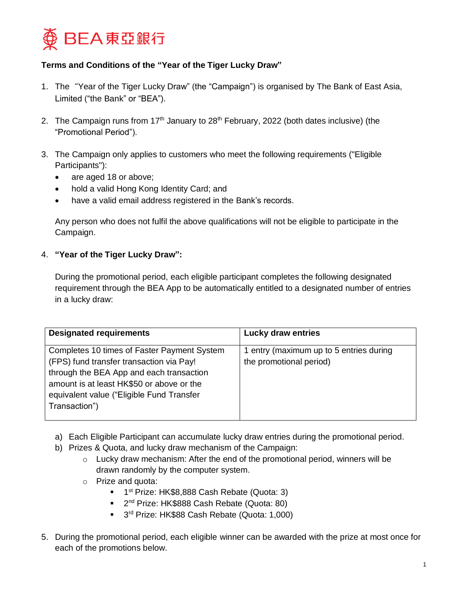

## **Terms and Conditions of the "Year of the Tiger Lucky Draw"**

- 1. The"Year of the Tiger Lucky Draw" (the "Campaign") is organised by The Bank of East Asia, Limited ("the Bank" or "BEA").
- 2. The Campaign runs from 17<sup>th</sup> January to 28<sup>th</sup> February, 2022 (both dates inclusive) (the "Promotional Period").
- 3. The Campaign only applies to customers who meet the following requirements ("Eligible Participants"):
	- are aged 18 or above;
	- hold a valid Hong Kong Identity Card; and
	- have a valid email address registered in the Bank's records.

Any person who does not fulfil the above qualifications will not be eligible to participate in the Campaign.

## 4. **"Year of the Tiger Lucky Draw":**

During the promotional period, each eligible participant completes the following designated requirement through the BEA App to be automatically entitled to a designated number of entries in a lucky draw:

| <b>Designated requirements</b>                                                                                                                                                                                                                 | <b>Lucky draw entries</b>                                          |
|------------------------------------------------------------------------------------------------------------------------------------------------------------------------------------------------------------------------------------------------|--------------------------------------------------------------------|
| Completes 10 times of Faster Payment System<br>(FPS) fund transfer transaction via Pay!<br>through the BEA App and each transaction<br>amount is at least HK\$50 or above or the<br>equivalent value ("Eligible Fund Transfer<br>Transaction") | 1 entry (maximum up to 5 entries during<br>the promotional period) |

- a) Each Eligible Participant can accumulate lucky draw entries during the promotional period.
- b) Prizes & Quota, and lucky draw mechanism of the Campaign:
	- $\circ$  Lucky draw mechanism: After the end of the promotional period, winners will be drawn randomly by the computer system.
	- o Prize and quota:
		- <sup>1</sup> 1<sup>st</sup> Prize: HK\$8,888 Cash Rebate (Quota: 3)
		- <sup>2nd</sup> Prize: HK\$888 Cash Rebate (Quota: 80)
		- <sup>3rd</sup> Prize: HK\$88 Cash Rebate (Quota: 1,000)
- 5. During the promotional period, each eligible winner can be awarded with the prize at most once for each of the promotions below.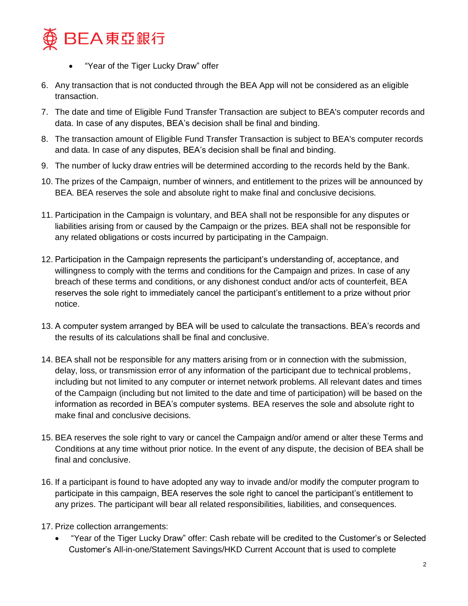

- "Year of the Tiger Lucky Draw" offer
- 6. Any transaction that is not conducted through the BEA App will not be considered as an eligible transaction.
- 7. The date and time of Eligible Fund Transfer Transaction are subject to BEA's computer records and data. In case of any disputes, BEA's decision shall be final and binding.
- 8. The transaction amount of Eligible Fund Transfer Transaction is subject to BEA's computer records and data. In case of any disputes, BEA's decision shall be final and binding.
- 9. The number of lucky draw entries will be determined according to the records held by the Bank.
- 10. The prizes of the Campaign, number of winners, and entitlement to the prizes will be announced by BEA. BEA reserves the sole and absolute right to make final and conclusive decisions.
- 11. Participation in the Campaign is voluntary, and BEA shall not be responsible for any disputes or liabilities arising from or caused by the Campaign or the prizes. BEA shall not be responsible for any related obligations or costs incurred by participating in the Campaign.
- 12. Participation in the Campaign represents the participant's understanding of, acceptance, and willingness to comply with the terms and conditions for the Campaign and prizes. In case of any breach of these terms and conditions, or any dishonest conduct and/or acts of counterfeit, BEA reserves the sole right to immediately cancel the participant's entitlement to a prize without prior notice.
- 13. A computer system arranged by BEA will be used to calculate the transactions. BEA's records and the results of its calculations shall be final and conclusive.
- 14. BEA shall not be responsible for any matters arising from or in connection with the submission, delay, loss, or transmission error of any information of the participant due to technical problems, including but not limited to any computer or internet network problems. All relevant dates and times of the Campaign (including but not limited to the date and time of participation) will be based on the information as recorded in BEA's computer systems. BEA reserves the sole and absolute right to make final and conclusive decisions.
- 15. BEA reserves the sole right to vary or cancel the Campaign and/or amend or alter these Terms and Conditions at any time without prior notice. In the event of any dispute, the decision of BEA shall be final and conclusive.
- 16. If a participant is found to have adopted any way to invade and/or modify the computer program to participate in this campaign, BEA reserves the sole right to cancel the participant's entitlement to any prizes. The participant will bear all related responsibilities, liabilities, and consequences.
- 17. Prize collection arrangements:
	- "Year of the Tiger Lucky Draw" offer: Cash rebate will be credited to the Customer's or Selected Customer's All-in-one/Statement Savings/HKD Current Account that is used to complete